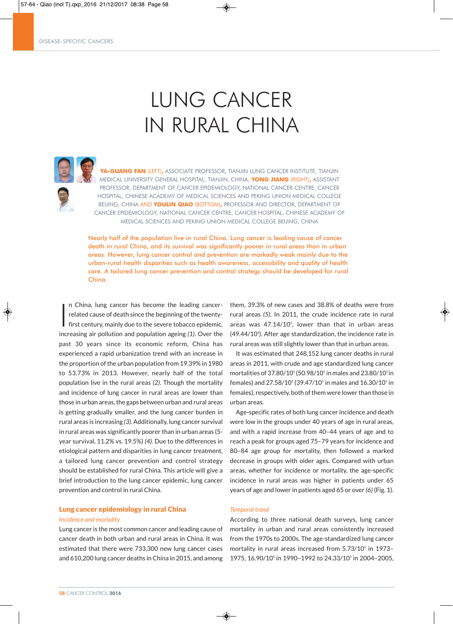DISEASE-SPECIFIC CANCERS

# LUNG CANCER IN RURAL CHINA



**YA-GUANG FAN** (LEFT)**,** ASSOCIATE PROFESSOR, TIANJIN LUNG CANCER INSTITUTE, TIANJIN MEDICAL UNIVERSITY GENERAL HOSPITAL, TIANJIN, CHINA; **YONG JIANG** (RIGHT)**,** ASSISTANT PROFESSOR, DEPARTMENT OF CANCER EPIDEMIOLOGY, NATIONAL CANCER CENTRE, CANCER HOSPITAL, CHINESE ACADEMY OF MEDICAL SCIENCES AND PEKING UNION MEDICAL COLLEGE BEIJING, CHINA AND **YOULIN QIAO** (BOTTOM)**,** PROFESSOR AND DIRECTOR, DEPARTMENT OF CANCER EPIDEMIOLOGY, NATIONAL CANCER CENTRE, CANCER HOSPITAL, CHINESE ACADEMY OF MEDICAL SCIENCES AND PEKING UNION MEDICAL COLLEGE BEIJING, CHINA

Nearly half of the population live in rural China. Lung cancer is leading cause of cancer death in rural China, and its survival was significantly poorer in rural areas than in urban areas. However, lung cancer control and prevention are markedly weak mainly due to the urban-rural health disparities such as health awareness, accessibility and quality of health care. A tailored lung cancer prevention and control strategy should be developed for rural China.

I n China, lung cancer has become the leading cancerrelated cause of death since the beginning of the twentyfirst century, mainly due to the severe tobacco epidemic, increasing air pollution and population ageing *(1)*. Over the past 30 years since its economic reform, China has experienced a rapid urbanization trend with an increase in the proportion of the urban population from 19.39% in 1980 to 53.73% in 2013. However, nearly half of the total population live in the rural areas *(2)*. Though the mortality and incidence of lung cancer in rural areas are lower than those in urban areas, the gaps between urban and rural areas is getting gradually smaller, and the lung cancer burden in rural areas is increasing *(3)*. Additionally, lung cancer survival in rural areas was significantly poorer than in urban areas (5 year survival, 11.2% vs. 19.5%) *(4).* Due to the differences in etiological pattern and disparities in lung cancer treatment, a tailored lung cancer prevention and control strategy should be established for rural China. This article will give a brief introduction to the lung cancer epidemic, lung cancer prevention and control in rural China.

# Lung cancer epidemiology in rural China

## *Incidence and mortality*

Lung cancer is the most common cancer and leading cause of cancer death in both urban and rural areas in China. It was estimated that there were 733,300 new lung cancer cases and 610,200 lung cancer deaths in China in 2015, and among them, 39.3% of new cases and 38.8% of deaths were from rural areas *(5).* In 2011, the crude incidence rate in rural areas was  $47.14/10<sup>5</sup>$ , lower than that in urban areas  $(49.44/10<sup>5</sup>)$ . After age standardization, the incidence rate in rural areas was still slightly lower than that in urban areas.

It was estimated that 248,152 lung cancer deaths in rural areas in 2011, with crude and age standardized lung cancer mortalities of  $37.80/10^5$  (50.98/10<sup>5</sup> in males and 23.80/10<sup>5</sup> in females) and  $27.58/10^5$  (39.47/10<sup>5</sup> in males and  $16.30/10^5$  in females), respectively, both of them were lower than those in urban areas.

Age-specific rates of both lung cancer incidence and death were low in the groups under 40 years of age in rural areas, and with a rapid increase from 40–44 years of age and to reach a peak for groups aged 75–79 years for incidence and 80–84 age group for mortality, then followed a marked decrease in groups with older ages. Compared with urban areas, whether for incidence or mortality, the age-specific incidence in rural areas was higher in patients under 65 years of age and lower in patients aged 65 or over *(6)* (Fig. 1).

#### *Temporal trend*

◈

According to three national death surveys, lung cancer mortality in urban and rural areas consistently increased from the 1970s to 2000s. The age-standardized lung cancer mortality in rural areas increased from 5.73/10<sup>5</sup> in 1973-1975, 16.90/105 in 1990–1992 to 24.33/105 in 2004–2005,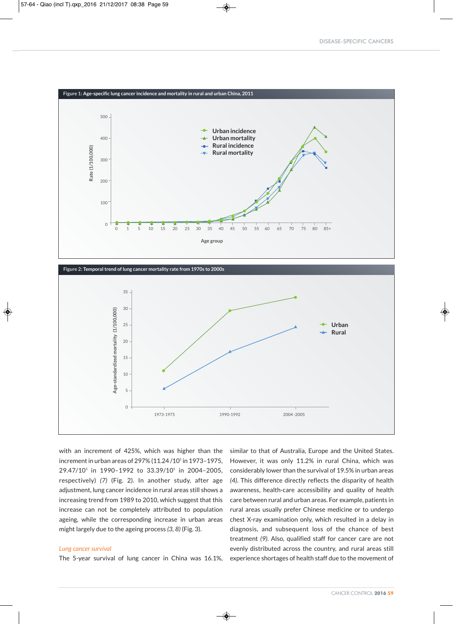



◈

with an increment of 425%, which was higher than the increment in urban areas of 297% (11.24/10<sup>5</sup> in 1973-1975, 29.47/105 in 1990–1992 to 33.39/105 in 2004–2005, respectively) *(7)* (Fig. 2). In another study, after age adjustment, lung cancer incidence in rural areas still shows a increasing trend from 1989 to 2010, which suggest that this increase can not be completely attributed to population ageing, while the corresponding increase in urban areas might largely due to the ageing process *(3, 8)* (Fig. 3).

#### *Lung cancer survival*

The 5-year survival of lung cancer in China was 16.1%,

similar to that of Australia, Europe and the United States. However, it was only 11.2% in rural China, which was considerably lower than the survival of 19.5% in urban areas *(4)*. This difference directly reflects the disparity of health awareness, health-care accessibility and quality of health care between rural and urban areas. For example, patients in rural areas usually prefer Chinese medicine or to undergo chest X-ray examination only, which resulted in a delay in diagnosis, and subsequent loss of the chance of best treatment *(9)*. Also, qualified staff for cancer care are not evenly distributed across the country, and rural areas still experience shortages of health staff due to the movement of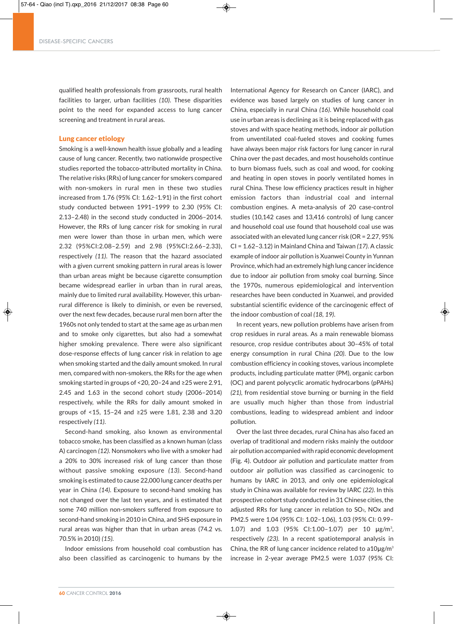qualified health professionals from grassroots, rural health facilities to larger, urban facilities *(10)*. These disparities point to the need for expanded access to lung cancer screening and treatment in rural areas.

### Lung cancer etiology

Smoking is a well-known health issue globally and a leading cause of lung cancer. Recently, two nationwide prospective studies reported the tobacco-attributed mortality in China. The relative risks (RRs) of lung cancer for smokers compared with non-smokers in rural men in these two studies increased from 1.76 (95% CI: 1.62–1.91) in the first cohort study conducted between 1991–1999 to 2.30 (95% CI: 2.13–2.48) in the second study conducted in 2006–2014. However, the RRs of lung cancer risk for smoking in rural men were lower than those in urban men, which were 2.32 (95%CI:2.08–2.59) and 2.98 (95%CI:2.66–2.33), respectively *(11)*. The reason that the hazard associated with a given current smoking pattern in rural areas is lower than urban areas might be because cigarette consumption became widespread earlier in urban than in rural areas, mainly due to limited rural availability. However, this urbanrural difference is likely to diminish, or even be reversed, over the next few decades, because rural men born after the 1960s not only tended to start at the same age as urban men and to smoke only cigarettes, but also had a somewhat higher smoking prevalence. There were also significant dose-response effects of lung cancer risk in relation to age when smoking started and the daily amount smoked. In rural men, compared with non-smokers, the RRs for the age when smoking started in groups of <20, 20–24 and ≥25 were 2.91, 2.45 and 1.63 in the second cohort study (2006–2014) respectively, while the RRs for daily amount smoked in groups of <15, 15–24 and ≥25 were 1.81, 2.38 and 3.20 respectively *(11)*.

Second-hand smoking, also known as environmental tobacco smoke, has been classified as a known human (class A) carcinogen *(12)*. Nonsmokers who live with a smoker had a 20% to 30% increased risk of lung cancer than those without passive smoking exposure *(13)*. Second-hand smoking is estimated to cause 22,000 lung cancer deaths per year in China *(14)*. Exposure to second-hand smoking has not changed over the last ten years, and is estimated that some 740 million non-smokers suffered from exposure to second-hand smoking in 2010 in China, and SHS exposure in rural areas was higher than that in urban areas (74.2 vs. 70.5% in 2010) *(15)*.

Indoor emissions from household coal combustion has also been classified as carcinogenic to humans by the

◈

International Agency for Research on Cancer (IARC), and evidence was based largely on studies of lung cancer in China, especially in rural China *(16)*. While household coal use in urban areas is declining as it is being replaced with gas stoves and with space heating methods, indoor air pollution from unventilated coal-fueled stoves and cooking fumes have always been major risk factors for lung cancer in rural China over the past decades, and most households continue to burn biomass fuels, such as coal and wood, for cooking and heating in open stoves in poorly ventilated homes in rural China. These low efficiency practices result in higher emission factors than industrial coal and internal combustion engines. A meta-analysis of 20 case-control studies (10,142 cases and 13,416 controls) of lung cancer and household coal use found that household coal use was associated with an elevated lung cancer risk (OR = 2.27, 95% CI = 1.62–3.12) in Mainland China and Taiwan *(17)*. A classic example of indoor air pollution is Xuanwei County in Yunnan Province, which had an extremely high lung cancer incidence due to indoor air pollution from smoky coal burning. Since the 1970s, numerous epidemiological and intervention researches have been conducted in Xuanwei, and provided substantial scientific evidence of the carcinogenic effect of the indoor combustion of coal *(18, 19)*.

In recent years, new pollution problems have arisen from crop residues in rural areas. As a main renewable biomass resource, crop residue contributes about 30–45% of total energy consumption in rural China *(20)*. Due to the low combustion efficiency in cooking stoves, various incomplete products, including particulate matter (PM), organic carbon (OC) and parent polycyclic aromatic hydrocarbons (pPAHs) *(21),* from residential stove burning or burning in the field are usually much higher than those from industrial combustions, leading to widespread ambient and indoor pollution.

Over the last three decades, rural China has also faced an overlap of traditional and modern risks mainly the outdoor air pollution accompanied with rapid economic development (Fig. 4). Outdoor air pollution and particulate matter from outdoor air pollution was classified as carcinogenic to humans by IARC in 2013, and only one epidemiological study in China was available for review by IARC *(22)*. In this prospective cohort study conducted in 31 Chinese cities, the adjusted RRs for lung cancer in relation to SO<sub>2</sub>, NO<sub>x</sub> and PM2.5 were 1.04 (95% CI: 1.02–1.06), 1.03 (95% CI: 0.99– 1.07) and 1.03 (95% CI:1.00–1.07) per 10 μg/m3 , respectively *(23)*. In a recent spatiotemporal analysis in China, the RR of lung cancer incidence related to a10μg/m3 increase in 2-year average PM2.5 were 1.037 (95% CI: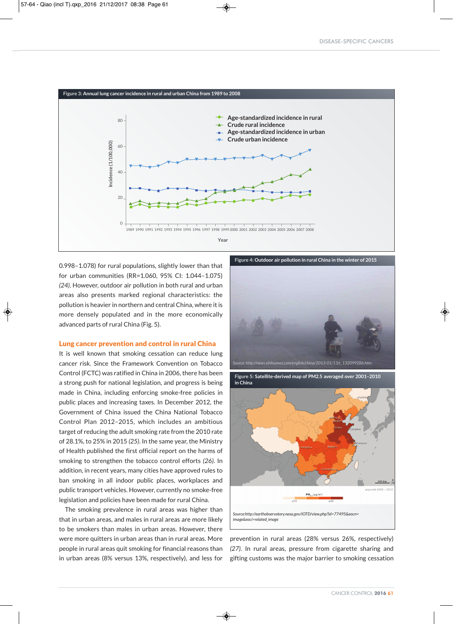

0.998–1.078) for rural populations, slightly lower than that for urban communities (RR=1.060, 95% CI: 1.044–1.075) *(24)*. However, outdoor air pollution in both rural and urban areas also presents marked regional characteristics: the pollution is heavier in northern and central China, where it is more densely populated and in the more economically advanced parts of rural China (Fig. 5).

#### Lung cancer prevention and control in rural China

It is well known that smoking cessation can reduce lung cancer risk. Since the Framework Convention on Tobacco Control (FCTC) was ratified in China in 2006, there has been a strong push for national legislation, and progress is being made in China, including enforcing smoke-free policies in public places and increasing taxes. In December 2012, the Government of China issued the China National Tobacco Control Plan 2012–2015, which includes an ambitious target of reducing the adult smoking rate from the 2010 rate of 28.1%, to 25% in 2015 *(25)*. In the same year, the Ministry of Health published the first official report on the harms of smoking to strengthen the tobacco control efforts *(26)*. In addition, in recent years, many cities have approved rules to ban smoking in all indoor public places, workplaces and public transport vehicles. However, currently no smoke-free legislation and policies have been made for rural China.

The smoking prevalence in rural areas was higher than that in urban areas, and males in rural areas are more likely to be smokers than males in urban areas. However, there were more quitters in urban areas than in rural areas. More people in rural areas quit smoking for financial reasons than in urban areas (8% versus 13%, respectively), and less for

**Figure 4: Outdoor air pollution in rural China in the winter of 2015**





prevention in rural areas (28% versus 26%, respectively) *(27)*. In rural areas, pressure from cigarette sharing and gifting customs was the major barrier to smoking cessation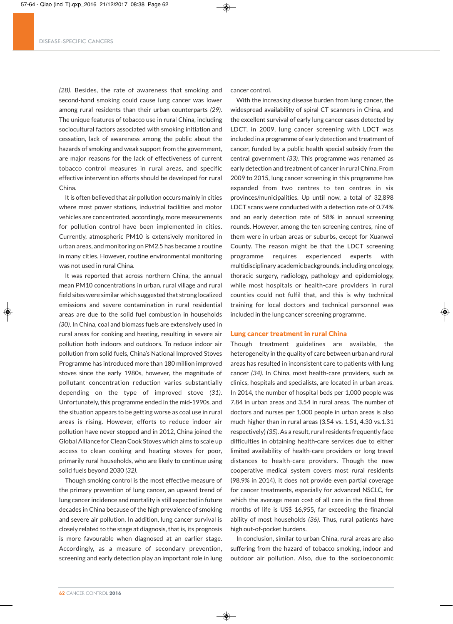#### DISEASE-SPECIFIC CANCERS

*(28)*. Besides, the rate of awareness that smoking and second-hand smoking could cause lung cancer was lower among rural residents than their urban counterparts *(29)*. The unique features of tobacco use in rural China, including sociocultural factors associated with smoking initiation and cessation, lack of awareness among the public about the hazards of smoking and weak support from the government, are major reasons for the lack of effectiveness of current tobacco control measures in rural areas, and specific effective intervention efforts should be developed for rural China.

It is often believed that air pollution occurs mainly in cities where most power stations, industrial facilities and motor vehicles are concentrated, accordingly, more measurements for pollution control have been implemented in cities. Currently, atmospheric PM10 is extensively monitored in urban areas, and monitoring on PM2.5 has became a routine in many cities. However, routine environmental monitoring was not used in rural China.

It was reported that across northern China, the annual mean PM10 concentrations in urban, rural village and rural field sites were similar which suggested that strong localized emissions and severe contamination in rural residential areas are due to the solid fuel combustion in households *(30)*. In China, coal and biomass fuels are extensively used in rural areas for cooking and heating, resulting in severe air pollution both indoors and outdoors. To reduce indoor air pollution from solid fuels, China's National Improved Stoves Programme has introduced more than 180 million improved stoves since the early 1980s, however, the magnitude of pollutant concentration reduction varies substantially depending on the type of improved stove *(31)*. Unfortunately, this programme ended in the mid-1990s, and the situation appears to be getting worse as coal use in rural areas is rising. However, efforts to reduce indoor air pollution have never stopped and in 2012, China joined the Global Alliance for Clean Cook Stoves which aims to scale up access to clean cooking and heating stoves for poor, primarily rural households, who are likely to continue using solid fuels beyond 2030 *(32)*.

Though smoking control is the most effective measure of the primary prevention of lung cancer, an upward trend of lung cancer incidence and mortality is still expected in future decades in China because of the high prevalence of smoking and severe air pollution. In addition, lung cancer survival is closely related to the stage at diagnosis, that is, its prognosis is more favourable when diagnosed at an earlier stage. Accordingly, as a measure of secondary prevention, screening and early detection play an important role in lung cancer control.

With the increasing disease burden from lung cancer, the widespread availability of spiral CT scanners in China, and the excellent survival of early lung cancer cases detected by LDCT, in 2009, lung cancer screening with LDCT was included in a programme of early detection and treatment of cancer, funded by a public health special subsidy from the central government *(33)*. This programme was renamed as early detection and treatment of cancer in rural China. From 2009 to 2015, lung cancer screening in this programme has expanded from two centres to ten centres in six provinces/municipalities. Up until now, a total of 32,898 LDCT scans were conducted with a detection rate of 0.74% and an early detection rate of 58% in annual screening rounds. However, among the ten screening centres, nine of them were in urban areas or suburbs, except for Xuanwei County. The reason might be that the LDCT screening programme requires experienced experts with multidisciplinary academic backgrounds, including oncology, thoracic surgery, radiology, pathology and epidemiology, while most hospitals or health-care providers in rural counties could not fulfil that, and this is why technical training for local doctors and technical personnel was included in the lung cancer screening programme.

#### Lung cancer treatment in rural China

Though treatment guidelines are available, the heterogeneity in the quality of care between urban and rural areas has resulted in inconsistent care to patients with lung cancer *(34)*. In China, most health-care providers, such as clinics, hospitals and specialists, are located in urban areas. In 2014, the number of hospital beds per 1,000 people was 7.84 in urban areas and 3.54 in rural areas. The number of doctors and nurses per 1,000 people in urban areas is also much higher than in rural areas (3.54 vs. 1.51, 4.30 vs.1.31 respectively) *(35)*. As a result, rural residents frequently face difficulties in obtaining health-care services due to either limited availability of health-care providers or long travel distances to health-care providers. Though the new cooperative medical system covers most rural residents (98.9% in 2014), it does not provide even partial coverage for cancer treatments, especially for advanced NSCLC, for which the average mean cost of all care in the final three months of life is US\$ 16,955, far exceeding the financial ability of most households *(36)*. Thus, rural patients have high out-of-pocket burdens.

In conclusion, similar to urban China, rural areas are also suffering from the hazard of tobacco smoking, indoor and outdoor air pollution. Also, due to the socioeconomic

◈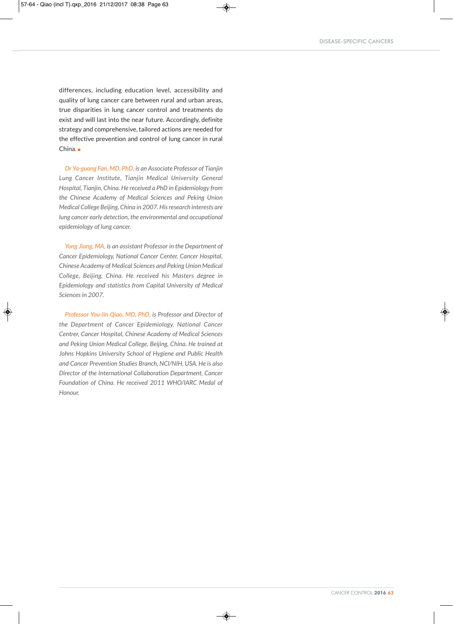differences, including education level, accessibility and quality of lung cancer care between rural and urban areas, true disparities in lung cancer control and treatments do exist and will last into the near future. Accordingly, definite strategy and comprehensive, tailored actions are needed for the effective prevention and control of lung cancer in rural China.

*Dr Ya-guang Fan, MD, PhD, is an Associate Professor of Tianjin Lung Cancer Institute, Tianjin Medical University General Hospital, Tianjin, China. He received a PhD in Epidemiology from the Chinese Academy of Medical Sciences and Peking Union Medical College Beijing, China in 2007.Hisresearch interests are lung cancer early detection, the environmental and occupational epidemiology of lung cancer.*

*Yong Jiang, MA, is an assistant Professor in the Department of Cancer Epidemiology, National Cancer Center, Cancer Hospital, Chinese Academy of Medical Sciences and Peking Union Medical College, Beijing, China. He received his Masters degree in Epidemiology and statistics from Capital University of Medical Sciences in 2007.*

*Professor You-lin Qiao, MD, PhD, is Professor and Director of the Department of Cancer Epidemiology, National Cancer Centrer, Cancer Hospital, Chinese Academy of Medical Sciences and Peking Union Medical College, Beijing, China. He trained at Johns Hopkins University School of Hygiene and Public Health and Cancer Prevention Studies Branch, NCI/NIH, USA. He is also Director of the International Collaboration Department, Cancer Foundation of China. He received 2011 WHO/IARC Medal of Honour.*